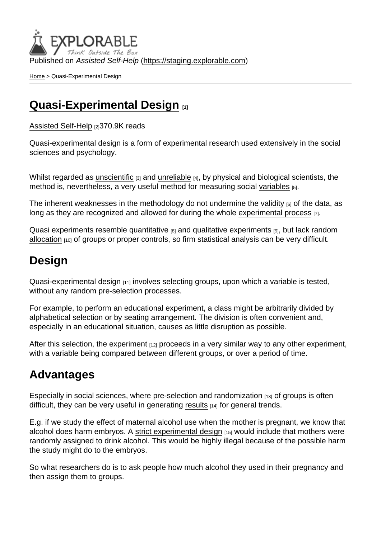Published on Assisted Self-Help [\(https://staging.explorable.com](https://staging.explorable.com))

[Home](https://staging.explorable.com/en) > Quasi-Experimental Design

## [Quasi-Experimental Design](https://staging.explorable.com/en/quasi-experimental-design) [1]

[Assisted Self-Help](https://staging.explorable.com/en) [2]370.9K reads

Quasi-experimental design is a form of experimental research used extensively in the social sciences and psychology.

Whilst regarded as [unscientific](https://staging.explorable.com/what-is-the-scientific-method) [3] and [unreliable](https://staging.explorable.com/definition-of-reliability) [4], by physical and biological scientists, the method is, nevertheless, a very useful method for measuring social [variables](https://staging.explorable.com/research-variables) [5].

The inherent weaknesses in the methodology do not undermine the [validity](https://staging.explorable.com/types-of-validity)  $[6]$  of the data, as long as they are recognized and allowed for during the whole [experimental process](https://staging.explorable.com/experimental-research) [7].

Quasi experiments resemble [quantitative](https://staging.explorable.com/quantitative-research-design) [8] and [qualitative experiments](https://staging.explorable.com/qualitative-research-design) [9], but lack random [allocation](https://staging.explorable.com/simple-random-sampling) <a>[10]</a> of groups or proper controls, so firm statistical analysis can be very difficult.

## Design

[Quasi-experimental design](http://www.socialresearchmethods.net/kb/quasiexp.php) [11] involves selecting groups, upon which a variable is tested, without any random pre-selection processes.

For example, to perform an educational experiment, a class might be arbitrarily divided by alphabetical selection or by seating arrangement. The division is often convenient and, especially in an educational situation, causes as little disruption as possible.

After this selection, the [experiment](https://staging.explorable.com/conducting-an-experiment)  $[12]$  proceeds in a very similar way to any other experiment, with a variable being compared between different groups, or over a period of time.

#### Advantages

Especially in social sciences, where pre-selection and [randomization](https://staging.explorable.com/randomization)  $\mu_3$  of groups is often difficult, they can be very useful in generating [results](https://staging.explorable.com/statistically-significant-results)  $141$  for general trends.

E.g. if we study the effect of maternal alcohol use when the mother is pregnant, we know that alcohol does harm embryos. A [strict experimental design](https://staging.explorable.com/true-experimental-design) [15] would include that mothers were randomly assigned to drink alcohol. This would be highly illegal because of the possible harm the study might do to the embryos.

So what researchers do is to ask people how much alcohol they used in their pregnancy and then assign them to groups.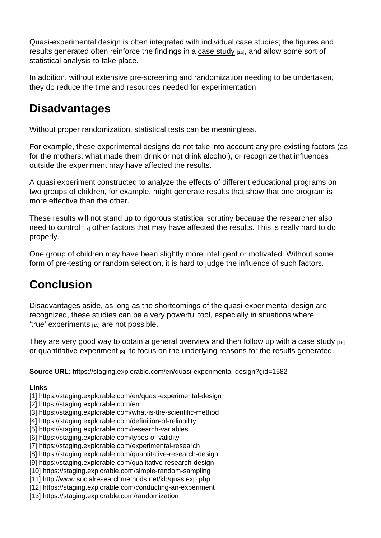Quasi-experimental design is often integrated with individual case studies; the figures and results generated often reinforce the findings in a [case study](https://staging.explorable.com/case-study-research-design) [16], and allow some sort of statistical analysis to take place.

In addition, without extensive pre-screening and randomization needing to be undertaken, they do reduce the time and resources needed for experimentation.

## **Disadvantages**

Without proper randomization, statistical tests can be meaningless.

For example, these experimental designs do not take into account any pre-existing factors (as for the mothers: what made them drink or not drink alcohol), or recognize that influences outside the experiment may have affected the results.

A quasi experiment constructed to analyze the effects of different educational programs on two groups of children, for example, might generate results that show that one program is more effective than the other.

These results will not stand up to rigorous statistical scrutiny because the researcher also need to [control](https://staging.explorable.com/controlled-variables)  $117$  other factors that may have affected the results. This is really hard to do properly.

One group of children may have been slightly more intelligent or motivated. Without some form of pre-testing or random selection, it is hard to judge the influence of such factors.

# **Conclusion**

Disadvantages aside, as long as the shortcomings of the quasi-experimental design are recognized, these studies can be a very powerful tool, especially in situations where ['true' experiments](https://staging.explorable.com/true-experimental-design) [15] are not possible.

They are very good way to obtain a general overview and then follow up with a [case study](https://staging.explorable.com/case-study-research-design) [16] or [quantitative experiment](https://staging.explorable.com/quantitative-research-design) [8], to focus on the underlying reasons for the results generated.

Source URL: https://staging.explorable.com/en/quasi-experimental-design?gid=1582

Links

- [1] https://staging.explorable.com/en/quasi-experimental-design
- [2] https://staging.explorable.com/en
- [3] https://staging.explorable.com/what-is-the-scientific-method
- [4] https://staging.explorable.com/definition-of-reliability
- [5] https://staging.explorable.com/research-variables
- [6] https://staging.explorable.com/types-of-validity
- [7] https://staging.explorable.com/experimental-research
- [8] https://staging.explorable.com/quantitative-research-design
- [9] https://staging.explorable.com/qualitative-research-design
- [10] https://staging.explorable.com/simple-random-sampling
- [11] http://www.socialresearchmethods.net/kb/quasiexp.php
- [12] https://staging.explorable.com/conducting-an-experiment
- [13] https://staging.explorable.com/randomization